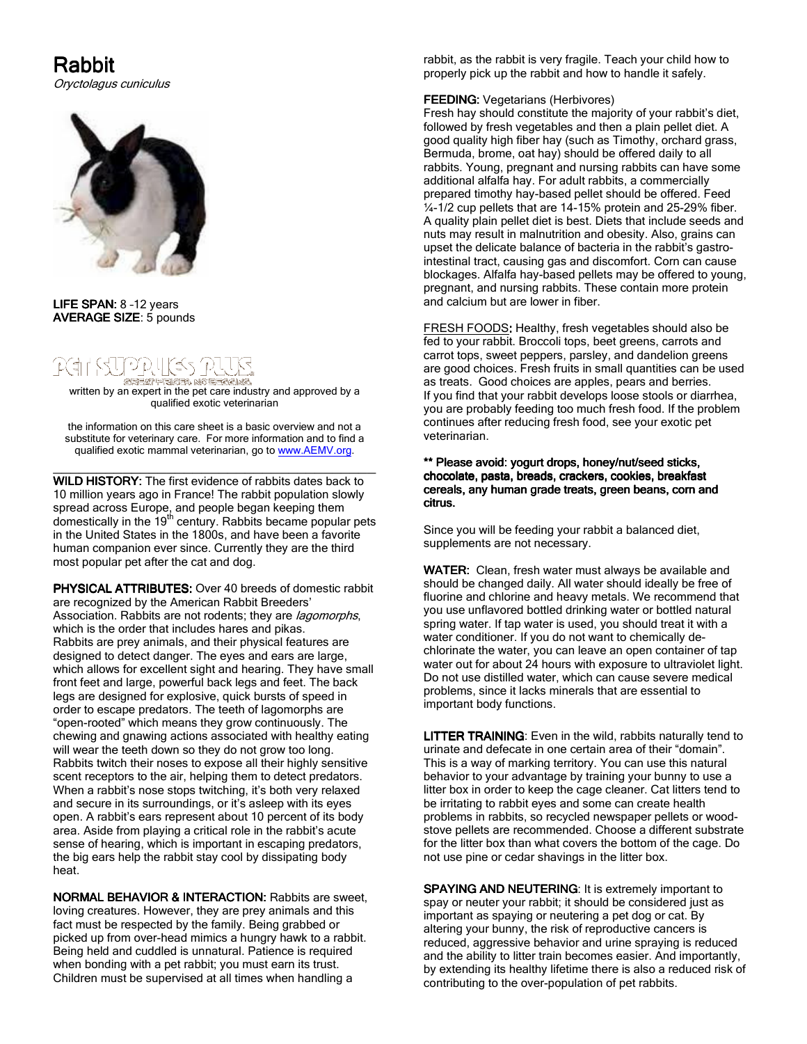# Rabbit

Oryctolagus cuniculus



### LIFE SPAN: 8 -12 years AVERAGE SIZE: 5 pounds

# $-4 - 45$

written by an expert in the pet care industry and approved by a<br>written by an expert in the pet care industry and approved by a qualified exotic veterinarian

the information on this care sheet is a basic overview and not a substitute for veterinary care. For more information and to find a qualified exotic mammal veterinarian, go to www.AEMV.org.

\_\_\_\_\_\_\_\_\_\_\_\_\_\_\_\_\_\_\_\_\_\_\_\_\_\_\_\_\_\_\_\_\_\_\_\_\_ WILD HISTORY: The first evidence of rabbits dates back to 10 million years ago in France! The rabbit population slowly spread across Europe, and people began keeping them<br>domestically in the 19<sup>th</sup> century. Rabbits became popular pets in the United States in the 1800s, and have been a favorite human companion ever since. Currently they are the third most popular pet after the cat and dog.

**PHYSICAL ATTRIBUTES:** Over 40 breeds of domestic rabbit are recognized by the American Rabbit Breeders' Association. Rabbits are not rodents; they are *lagomorphs*, which is the order that includes hares and pikas. Rabbits are prey animals, and their physical features are designed to detect danger. The eyes and ears are large, which allows for excellent sight and hearing. They have small front feet and large, powerful back legs and feet. The back legs are designed for explosive, quick bursts of speed in order to escape predators. The teeth of lagomorphs are "open-rooted" which means they grow continuously. The chewing and gnawing actions associated with healthy eating will wear the teeth down so they do not grow too long. Rabbits twitch their noses to expose all their highly sensitive scent receptors to the air, helping them to detect predators. When a rabbit's nose stops twitching, it's both very relaxed and secure in its surroundings, or it's asleep with its eyes open. A rabbit's ears represent about 10 percent of its body area. Aside from playing a critical role in the rabbit's acute sense of hearing, which is important in escaping predators, the big ears help the rabbit stay cool by dissipating body heat.

NORMAL BEHAVIOR & INTERACTION: Rabbits are sweet, loving creatures. However, they are prey animals and this fact must be respected by the family. Being grabbed or picked up from over-head mimics a hungry hawk to a rabbit. Being held and cuddled is unnatural. Patience is required when bonding with a pet rabbit; you must earn its trust. Children must be supervised at all times when handling a

rabbit, as the rabbit is very fragile. Teach your child how to properly pick up the rabbit and how to handle it safely.

# FEEDING: Vegetarians (Herbivores)

Fresh hay should constitute the majority of your rabbit's diet, followed by fresh vegetables and then a plain pellet diet. A good quality high fiber hay (such as Timothy, orchard grass, Bermuda, brome, oat hay) should be offered daily to all rabbits. Young, pregnant and nursing rabbits can have some additional alfalfa hay. For adult rabbits, a commercially prepared timothy hay-based pellet should be offered. Feed ¼-1/2 cup pellets that are 14-15% protein and 25-29% fiber. A quality plain pellet diet is best. Diets that include seeds and nuts may result in malnutrition and obesity. Also, grains can upset the delicate balance of bacteria in the rabbit's gastrointestinal tract, causing gas and discomfort. Corn can cause blockages. Alfalfa hay-based pellets may be offered to young, pregnant, and nursing rabbits. These contain more protein and calcium but are lower in fiber.

FRESH FOODS: Healthy, fresh vegetables should also be fed to your rabbit. Broccoli tops, beet greens, carrots and carrot tops, sweet peppers, parsley, and dandelion greens are good choices. Fresh fruits in small quantities can be used as treats. Good choices are apples, pears and berries. If you find that your rabbit develops loose stools or diarrhea, you are probably feeding too much fresh food. If the problem continues after reducing fresh food, see your exotic pet veterinarian.

### \*\* Please avoid: yogurt drops, honey/nut/seed sticks, chocolate, pasta, breads, crackers, cookies, breakfast cereals, any human grade treats, green beans, corn and citrus.

Since you will be feeding your rabbit a balanced diet, supplements are not necessary.

WATER: Clean, fresh water must always be available and should be changed daily. All water should ideally be free of fluorine and chlorine and heavy metals. We recommend that you use unflavored bottled drinking water or bottled natural spring water. If tap water is used, you should treat it with a water conditioner. If you do not want to chemically dechlorinate the water, you can leave an open container of tap water out for about 24 hours with exposure to ultraviolet light. Do not use distilled water, which can cause severe medical problems, since it lacks minerals that are essential to important body functions.

LITTER TRAINING: Even in the wild, rabbits naturally tend to urinate and defecate in one certain area of their "domain". This is a way of marking territory. You can use this natural behavior to your advantage by training your bunny to use a litter box in order to keep the cage cleaner. Cat litters tend to be irritating to rabbit eyes and some can create health problems in rabbits, so recycled newspaper pellets or woodstove pellets are recommended. Choose a different substrate for the litter box than what covers the bottom of the cage. Do not use pine or cedar shavings in the litter box.

SPAYING AND NEUTERING: It is extremely important to spay or neuter your rabbit; it should be considered just as important as spaying or neutering a pet dog or cat. By altering your bunny, the risk of reproductive cancers is reduced, aggressive behavior and urine spraying is reduced and the ability to litter train becomes easier. And importantly, by extending its healthy lifetime there is also a reduced risk of contributing to the over-population of pet rabbits.